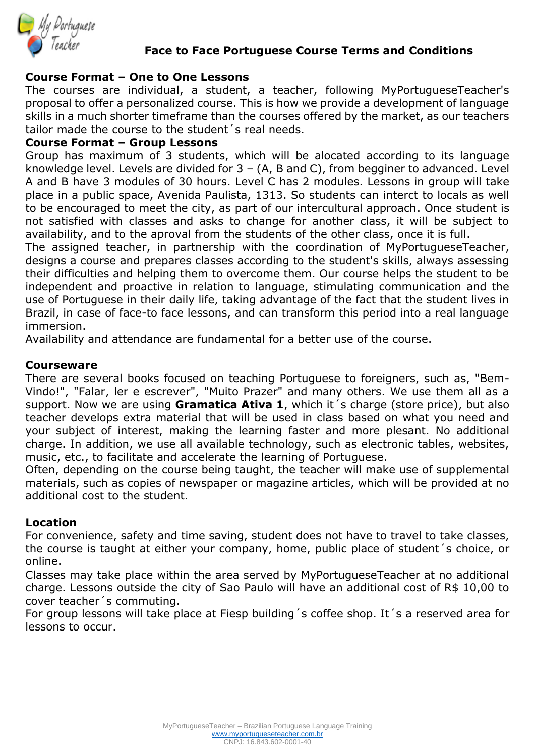

# **Face to Face Portuguese Course Terms and Conditions**

# **Course Format – One to One Lessons**

The courses are individual, a student, a teacher, following MyPortugueseTeacher's proposal to offer a personalized course. This is how we provide a development of language skills in a much shorter timeframe than the courses offered by the market, as our teachers tailor made the course to the student´s real needs.

# **Course Format – Group Lessons**

Group has maximum of 3 students, which will be alocated according to its language knowledge level. Levels are divided for  $3 - (A, B, A)$  and C), from begginer to advanced. Level A and B have 3 modules of 30 hours. Level C has 2 modules. Lessons in group will take place in a public space, Avenida Paulista, 1313. So students can interct to locals as well to be encouraged to meet the city, as part of our intercultural approach. Once student is not satisfied with classes and asks to change for another class, it will be subject to availability, and to the aproval from the students of the other class, once it is full.

The assigned teacher, in partnership with the coordination of MyPortugueseTeacher, designs a course and prepares classes according to the student's skills, always assessing their difficulties and helping them to overcome them. Our course helps the student to be independent and proactive in relation to language, stimulating communication and the use of Portuguese in their daily life, taking advantage of the fact that the student lives in Brazil, in case of face-to face lessons, and can transform this period into a real language immersion.

Availability and attendance are fundamental for a better use of the course.

### **Courseware**

There are several books focused on teaching Portuguese to foreigners, such as, "Bem-Vindo!", "Falar, ler e escrever", "Muito Prazer" and many others. We use them all as a support. Now we are using **Gramatica Ativa 1**, which it´s charge (store price), but also teacher develops extra material that will be used in class based on what you need and your subject of interest, making the learning faster and more plesant. No additional charge. In addition, we use all available technology, such as electronic tables, websites, music, etc., to facilitate and accelerate the learning of Portuguese.

Often, depending on the course being taught, the teacher will make use of supplemental materials, such as copies of newspaper or magazine articles, which will be provided at no additional cost to the student.

### **Location**

For convenience, safety and time saving, student does not have to travel to take classes, the course is taught at either your company, home, public place of student´s choice, or online.

Classes may take place within the area served by MyPortugueseTeacher at no additional charge. Lessons outside the city of Sao Paulo will have an additional cost of R\$ 10,00 to cover teacher´s commuting.

For group lessons will take place at Fiesp building´s coffee shop. It´s a reserved area for lessons to occur.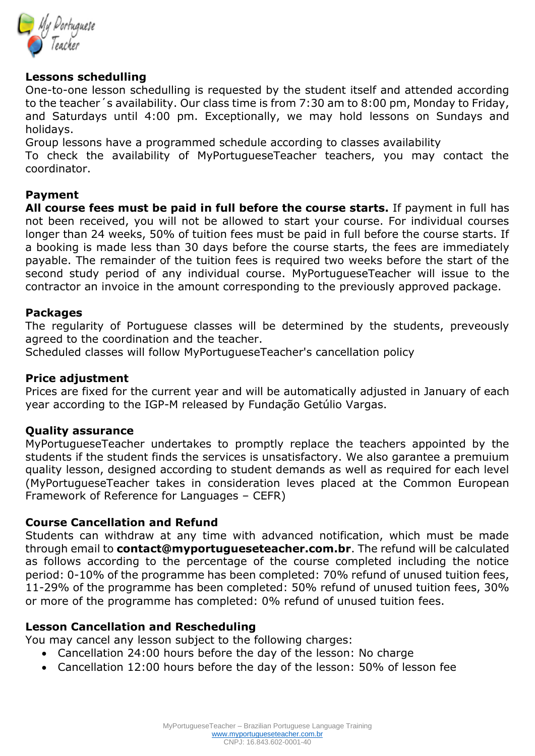

# **Lessons schedulling**

One-to-one lesson schedulling is requested by the student itself and attended according to the teacher´s availability. Our class time is from 7:30 am to 8:00 pm, Monday to Friday, and Saturdays until 4:00 pm. Exceptionally, we may hold lessons on Sundays and holidays.

Group lessons have a programmed schedule according to classes availability

To check the availability of MyPortugueseTeacher teachers, you may contact the coordinator.

## **Payment**

**All course fees must be paid in full before the course starts.** If payment in full has not been received, you will not be allowed to start your course. For individual courses longer than 24 weeks, 50% of tuition fees must be paid in full before the course starts. If a booking is made less than 30 days before the course starts, the fees are immediately payable. The remainder of the tuition fees is required two weeks before the start of the second study period of any individual course. MyPortugueseTeacher will issue to the contractor an invoice in the amount corresponding to the previously approved package.

### **Packages**

The regularity of Portuguese classes will be determined by the students, preveously agreed to the coordination and the teacher.

Scheduled classes will follow MyPortugueseTeacher's cancellation policy

### **Price adjustment**

Prices are fixed for the current year and will be automatically adjusted in January of each year according to the IGP-M released by Fundação Getúlio Vargas.

### **Quality assurance**

MyPortugueseTeacher undertakes to promptly replace the teachers appointed by the students if the student finds the services is unsatisfactory. We also garantee a premuium quality lesson, designed according to student demands as well as required for each level (MyPortugueseTeacher takes in consideration leves placed at the Common European Framework of Reference for Languages – CEFR)

### **Course Cancellation and Refund**

Students can withdraw at any time with advanced notification, which must be made through email to **contact@myportugueseteacher.com.br**. The refund will be calculated as follows according to the percentage of the course completed including the notice period: 0-10% of the programme has been completed: 70% refund of unused tuition fees, 11-29% of the programme has been completed: 50% refund of unused tuition fees, 30% or more of the programme has completed: 0% refund of unused tuition fees.

### **Lesson Cancellation and Rescheduling**

You may cancel any lesson subject to the following charges:

- Cancellation 24:00 hours before the day of the lesson: No charge
- Cancellation 12:00 hours before the day of the lesson: 50% of lesson fee